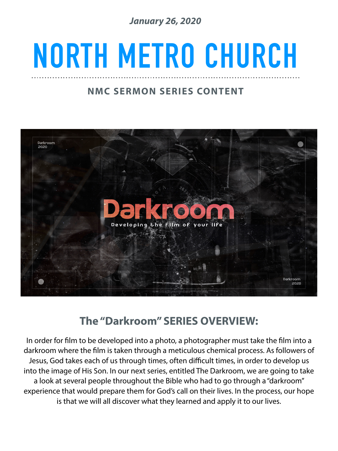*January 26, 2020* 

## **NORTH METRO CHURCH**

### **NMC SERMON SERIES CONTENT**



### **The "Darkroom" SERIES OVERVIEW:**

In order for flm to be developed into a photo, a photographer must take the flm into a darkroom where the flm is taken through a meticulous chemical process. As followers of Jesus, God takes each of us through times, often difficult times, in order to develop us into the image of His Son. In our next series, entitled The Darkroom, we are going to take a look at several people throughout the Bible who had to go through a "darkroom" experience that would prepare them for God's call on their lives. In the process, our hope is that we will all discover what they learned and apply it to our lives.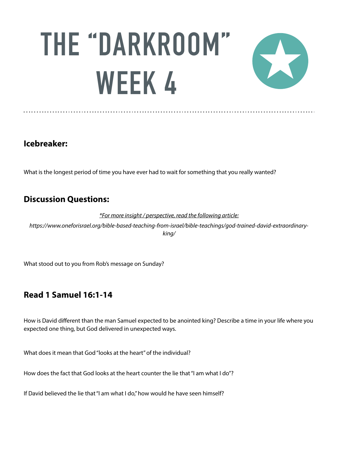# **THE "DARKROOM" WEEK 4**



#### **Icebreaker:**

What is the longest period of time you have ever had to wait for something that you really wanted?

#### **Discussion Questions:**

*\*For more insight / perspective, read the following article:* 

*https://www.oneforisrael.org/bible-based-teaching-from-israel/bible-teachings/god-trained-david-extraordinaryking/* 

What stood out to you from Rob's message on Sunday?

### **Read 1 Samuel 16:1-14**

How is David different than the man Samuel expected to be anointed king? Describe a time in your life where you expected one thing, but God delivered in unexpected ways.

What does it mean that God "looks at the heart" of the individual?

How does the fact that God looks at the heart counter the lie that "I am what I do"?

If David believed the lie that "I am what I do," how would he have seen himself?